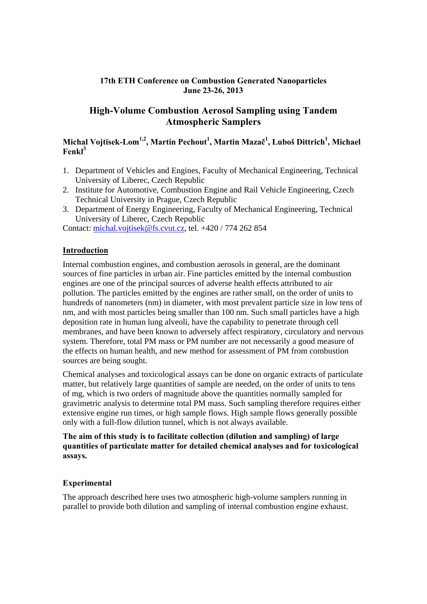### **17th ETH Conference on Combustion Generated Nanoparticles June 23-26, 2013**

# **High-Volume Combustion Aerosol Sampling using Tandem Atmospheric Samplers**

## $\mathbf{M}$ ichal Vojtisek-Lom<sup>1,2</sup>, Martin Pechout $^1$ , Martin Mazač $^1$ , Luboš Dittrich $^1$ , Michael **Fenkl3**

- 1. Department of Vehicles and Engines, Faculty of Mechanical Engineering, Technical University of Liberec, Czech Republic
- 2. Institute for Automotive, Combustion Engine and Rail Vehicle Engineering, Czech Technical University in Prague, Czech Republic
- 3. Department of Energy Engineering, Faculty of Mechanical Engineering, Technical University of Liberec, Czech Republic

Contact: michal.vojtisek@fs.cvut.cz, tel. +420 / 774 262 854

#### **Introduction**

Internal combustion engines, and combustion aerosols in general, are the dominant sources of fine particles in urban air. Fine particles emitted by the internal combustion engines are one of the principal sources of adverse health effects attributed to air pollution. The particles emitted by the engines are rather small, on the order of units to hundreds of nanometers (nm) in diameter, with most prevalent particle size in low tens of nm, and with most particles being smaller than 100 nm. Such small particles have a high deposition rate in human lung alveoli, have the capability to penetrate through cell membranes, and have been known to adversely affect respiratory, circulatory and nervous system. Therefore, total PM mass or PM number are not necessarily a good measure of the effects on human health, and new method for assessment of PM from combustion sources are being sought.

Chemical analyses and toxicological assays can be done on organic extracts of particulate matter, but relatively large quantities of sample are needed, on the order of units to tens of mg, which is two orders of magnitude above the quantities normally sampled for gravimetric analysis to determine total PM mass. Such sampling therefore requires either extensive engine run times, or high sample flows. High sample flows generally possible only with a full-flow dilution tunnel, which is not always available.

#### **The aim of this study is to facilitate collection (dilution and sampling) of large quantities of particulate matter for detailed chemical analyses and for toxicological assays.**

#### **Experimental**

The approach described here uses two atmospheric high-volume samplers running in parallel to provide both dilution and sampling of internal combustion engine exhaust.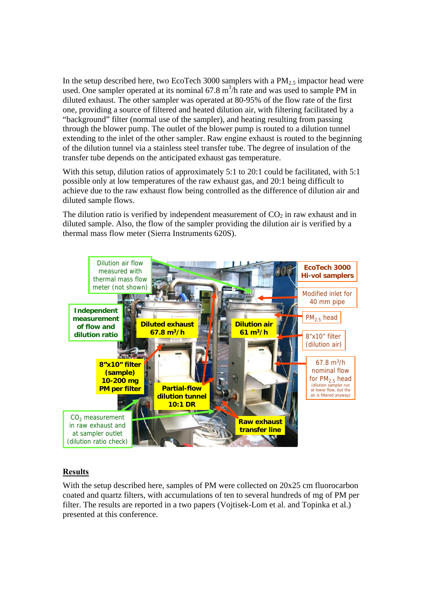In the setup described here, two EcoTech 3000 samplers with a  $PM_{2.5}$  impactor head were used. One sampler operated at its nominal  $67.8 \text{ m}^3/\text{h}$  rate and was used to sample PM in diluted exhaust. The other sampler was operated at 80-95% of the flow rate of the first one, providing a source of filtered and heated dilution air, with filtering facilitated by a "background" filter (normal use of the sampler), and heating resulting from passing through the blower pump. The outlet of the blower pump is routed to a dilution tunnel extending to the inlet of the other sampler. Raw engine exhaust is routed to the beginning of the dilution tunnel via a stainless steel transfer tube. The degree of insulation of the transfer tube depends on the anticipated exhaust gas temperature.

With this setup, dilution ratios of approximately 5:1 to 20:1 could be facilitated, with 5:1 possible only at low temperatures of the raw exhaust gas, and 20:1 being difficult to achieve due to the raw exhaust flow being controlled as the difference of dilution air and diluted sample flows.

The dilution ratio is verified by independent measurement of  $CO<sub>2</sub>$  in raw exhaust and in diluted sample. Also, the flow of the sampler providing the dilution air is verified by a thermal mass flow meter (Sierra Instruments 620S).



#### **Results**

With the setup described here, samples of PM were collected on 20x25 cm fluorocarbon coated and quartz filters, with accumulations of ten to several hundreds of mg of PM per filter. The results are reported in a two papers (Vojtisek-Lom et al. and Topinka et al.) presented at this conference.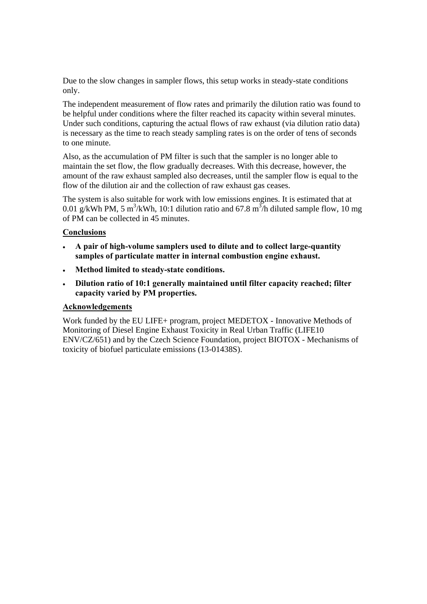Due to the slow changes in sampler flows, this setup works in steady-state conditions only.

The independent measurement of flow rates and primarily the dilution ratio was found to be helpful under conditions where the filter reached its capacity within several minutes. Under such conditions, capturing the actual flows of raw exhaust (via dilution ratio data) is necessary as the time to reach steady sampling rates is on the order of tens of seconds to one minute.

Also, as the accumulation of PM filter is such that the sampler is no longer able to maintain the set flow, the flow gradually decreases. With this decrease, however, the amount of the raw exhaust sampled also decreases, until the sampler flow is equal to the flow of the dilution air and the collection of raw exhaust gas ceases.

The system is also suitable for work with low emissions engines. It is estimated that at 0.01 g/kWh PM, 5 m<sup>3</sup>/kWh, 10:1 dilution ratio and 67.8 m<sup>3</sup>/h diluted sample flow, 10 mg of PM can be collected in 45 minutes.

#### **Conclusions**

- **A pair of high-volume samplers used to dilute and to collect large-quantity samples of particulate matter in internal combustion engine exhaust.**
- **Method limited to steady-state conditions.**
- **Dilution ratio of 10:1 generally maintained until filter capacity reached; filter capacity varied by PM properties.**

#### **Acknowledgements**

Work funded by the EU LIFE+ program, project MEDETOX - Innovative Methods of Monitoring of Diesel Engine Exhaust Toxicity in Real Urban Traffic (LIFE10 ENV/CZ/651) and by the Czech Science Foundation, project BIOTOX - Mechanisms of toxicity of biofuel particulate emissions (13-01438S).